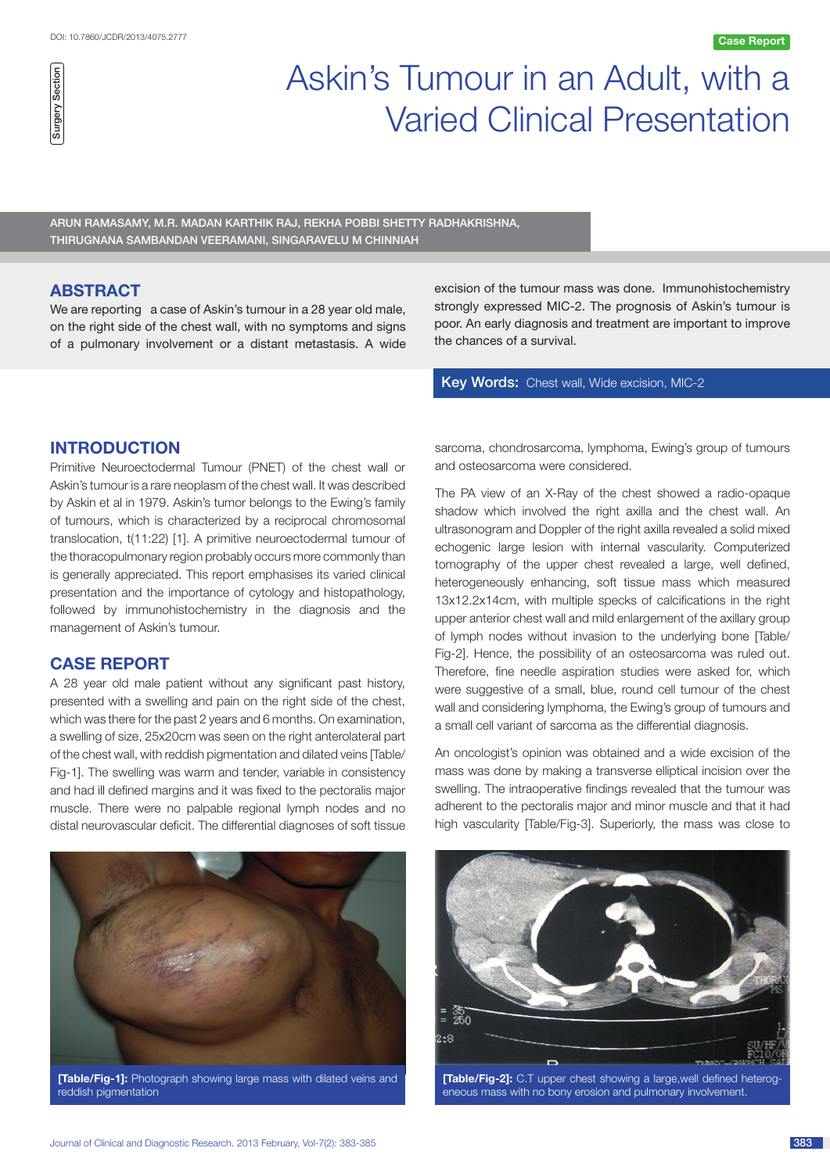# Askin's Tumour in an Adult, with a Varied Clinical Presentation

Arun Ramasamy, M.R. Madan Karthik Raj, Rekha Pobbi Shetty Radhakrishna, Thirugnana Sambandan Veeramani, Singaravelu M Chinniah

# **ABSTRACT**

We are reporting a case of Askin's tumour in a 28 year old male, on the right side of the chest wall, with no symptoms and signs of a pulmonary involvement or a distant metastasis. A wide

excision of the tumour mass was done. Immunohistochemistry strongly expressed MIC-2. The prognosis of Askin's tumour is poor. An early diagnosis and treatment are important to improve the chances of a survival.

Key Words: Chest wall, Wide excision, MIC-2

# **Introduction**

Primitive Neuroectodermal Tumour (PNET) of the chest wall or Askin's tumour is a rare neoplasm of the chest wall. It was described by Askin et al in 1979. Askin's tumor belongs to the Ewing's family of tumours, which is characterized by a reciprocal chromosomal translocation, t(11:22) [1]. A primitive neuroectodermal tumour of the thoracopulmonary region probably occurs more commonly than is generally appreciated. This report emphasises its varied clinical presentation and the importance of cytology and histopathology, followed by immunohistochemistry in the diagnosis and the management of Askin's tumour.

# **Case report**

A 28 year old male patient without any significant past history, presented with a swelling and pain on the right side of the chest, which was there for the past 2 years and 6 months. On examination, a swelling of size, 25x20cm was seen on the right anterolateral part of the chest wall, with reddish pigmentation and dilated veins [Table/ Fig-1]. The swelling was warm and tender, variable in consistency and had ill defined margins and it was fixed to the pectoralis major muscle. There were no palpable regional lymph nodes and no distal neurovascular deficit. The differential diagnoses of soft tissue



**[Table/Fig-1]:** Photograph showing large mass with dilated veins and reddish pigmentation

sarcoma, chondrosarcoma, lymphoma, Ewing's group of tumours and osteosarcoma were considered.

The PA view of an X-Ray of the chest showed a radio-opaque shadow which involved the right axilla and the chest wall. An ultrasonogram and Doppler of the right axilla revealed a solid mixed echogenic large lesion with internal vascularity. Computerized tomography of the upper chest revealed a large, well defined, heterogeneously enhancing, soft tissue mass which measured 13x12.2x14cm, with multiple specks of calcifications in the right upper anterior chest wall and mild enlargement of the axillary group of lymph nodes without invasion to the underlying bone [Table/ Fig-2]. Hence, the possibility of an osteosarcoma was ruled out. Therefore, fine needle aspiration studies were asked for, which were suggestive of a small, blue, round cell tumour of the chest wall and considering lymphoma, the Ewing's group of tumours and a small cell variant of sarcoma as the differential diagnosis.

An oncologist's opinion was obtained and a wide excision of the mass was done by making a transverse elliptical incision over the swelling. The intraoperative findings revealed that the tumour was adherent to the pectoralis major and minor muscle and that it had high vascularity [Table/Fig-3]. Superiorly, the mass was close to



**[Table/Fig-2]:** C.T upper chest showing a large,well defined heterogeneous mass with no bony erosion and pulmonary involvement.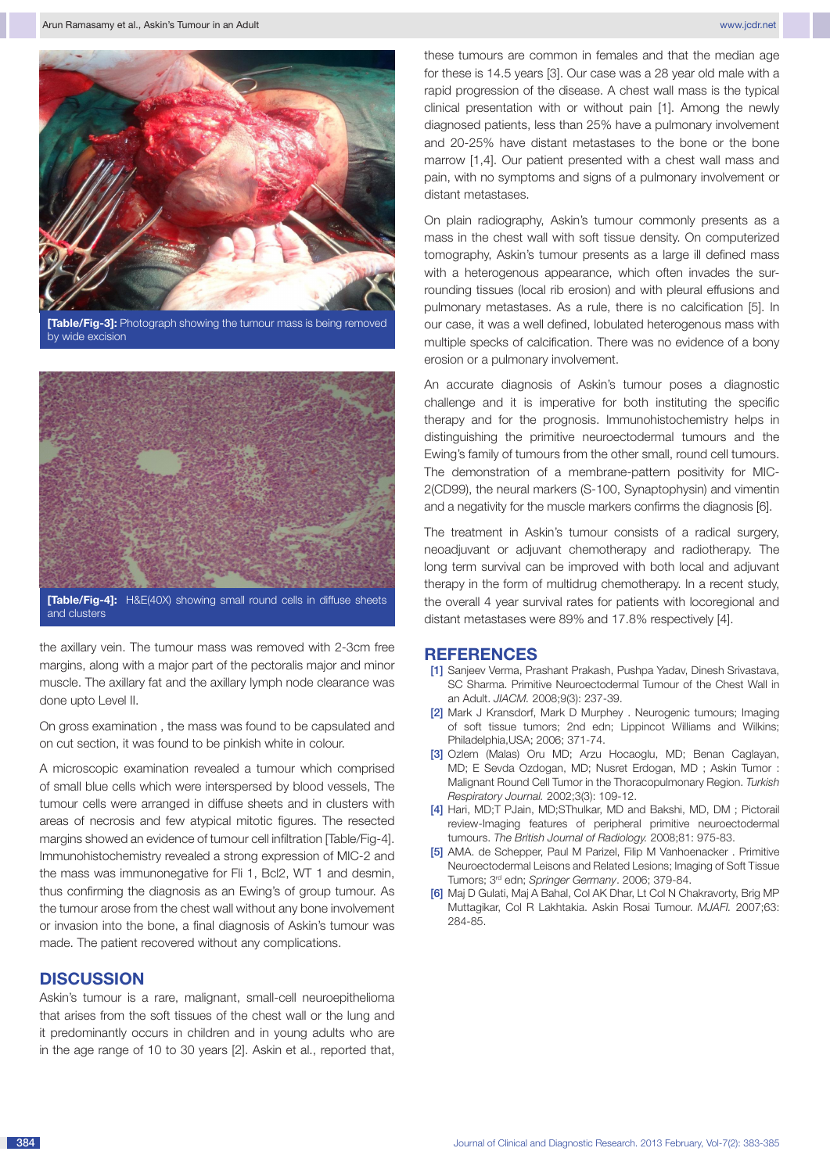

**[Table/Fig-3]:** Photograph showing the tumour mass is being removed by wide excision



and clusters

the axillary vein. The tumour mass was removed with 2-3cm free margins, along with a major part of the pectoralis major and minor muscle. The axillary fat and the axillary lymph node clearance was done upto Level II.

On gross examination , the mass was found to be capsulated and on cut section, it was found to be pinkish white in colour.

A microscopic examination revealed a tumour which comprised of small blue cells which were interspersed by blood vessels, The tumour cells were arranged in diffuse sheets and in clusters with areas of necrosis and few atypical mitotic figures. The resected margins showed an evidence of tumour cell infiltration [Table/Fig-4]. Immunohistochemistry revealed a strong expression of MIC-2 and the mass was immunonegative for Fli 1, Bcl2, WT 1 and desmin, thus confirming the diagnosis as an Ewing's of group tumour. As the tumour arose from the chest wall without any bone involvement or invasion into the bone, a final diagnosis of Askin's tumour was made. The patient recovered without any complications.

## **Discussion**

Askin's tumour is a rare, malignant, small-cell neuroepithelioma that arises from the soft tissues of the chest wall or the lung and it predominantly occurs in children and in young adults who are in the age range of 10 to 30 years [2]. Askin et al., reported that, these tumours are common in females and that the median age for these is 14.5 years [3]. Our case was a 28 year old male with a rapid progression of the disease. A chest wall mass is the typical clinical presentation with or without pain [1]. Among the newly diagnosed patients, less than 25% have a pulmonary involvement and 20-25% have distant metastases to the bone or the bone marrow [1,4]. Our patient presented with a chest wall mass and pain, with no symptoms and signs of a pulmonary involvement or distant metastases.

On plain radiography, Askin's tumour commonly presents as a mass in the chest wall with soft tissue density. On computerized tomography, Askin's tumour presents as a large ill defined mass with a heterogenous appearance, which often invades the surrounding tissues (local rib erosion) and with pleural effusions and pulmonary metastases. As a rule, there is no calcification [5]. In our case, it was a well defined, lobulated heterogenous mass with multiple specks of calcification. There was no evidence of a bony erosion or a pulmonary involvement.

An accurate diagnosis of Askin's tumour poses a diagnostic challenge and it is imperative for both instituting the specific therapy and for the prognosis. Immunohistochemistry helps in distinguishing the primitive neuroectodermal tumours and the Ewing's family of tumours from the other small, round cell tumours. The demonstration of a membrane-pattern positivity for MIC-2(CD99), the neural markers (S-100, Synaptophysin) and vimentin and a negativity for the muscle markers confirms the diagnosis [6].

The treatment in Askin's tumour consists of a radical surgery, neoadjuvant or adjuvant chemotherapy and radiotherapy. The long term survival can be improved with both local and adjuvant therapy in the form of multidrug chemotherapy. In a recent study, the overall 4 year survival rates for patients with locoregional and distant metastases were 89% and 17.8% respectively [4].

### **References**

- [1] Sanjeev Verma, Prashant Prakash, Pushpa Yadav, Dinesh Srivastava, SC Sharma. Primitive Neuroectodermal Tumour of the Chest Wall in an Adult. *JIACM.* 2008;9(3): 237-39.
- [2] Mark J Kransdorf, Mark D Murphey . Neurogenic tumours; Imaging of soft tissue tumors; 2nd edn; Lippincot Williams and Wilkins; Philadelphia,USA; 2006; 371-74.
- [3] Ozlem (Malas) Oru MD; Arzu Hocaoglu, MD; Benan Caglayan, MD; E Sevda Ozdogan, MD; Nusret Erdogan, MD ; Askin Tumor : Malignant Round Cell Tumor in the Thoracopulmonary Region. *Turkish Respiratory Journal.* 2002;3(3): 109-12.
- [4] Hari, MD;T PJain, MD;SThulkar, MD and Bakshi, MD, DM; Pictorail review-Imaging features of peripheral primitive neuroectodermal tumours. *The British Journal of Radiology.* 2008;81: 975-83.
- [5] AMA. de Schepper, Paul M Parizel, Filip M Vanhoenacker . Primitive Neuroectodermal Leisons and Related Lesions; Imaging of Soft Tissue Tumors; 3rd edn; *Springer Germany*. 2006; 379-84.
- [6] Maj D Gulati, Maj A Bahal, Col AK Dhar, Lt Col N Chakravorty, Brig MP Muttagikar, Col R Lakhtakia. Askin Rosai Tumour. *MJAFI.* 2007;63: 284-85.